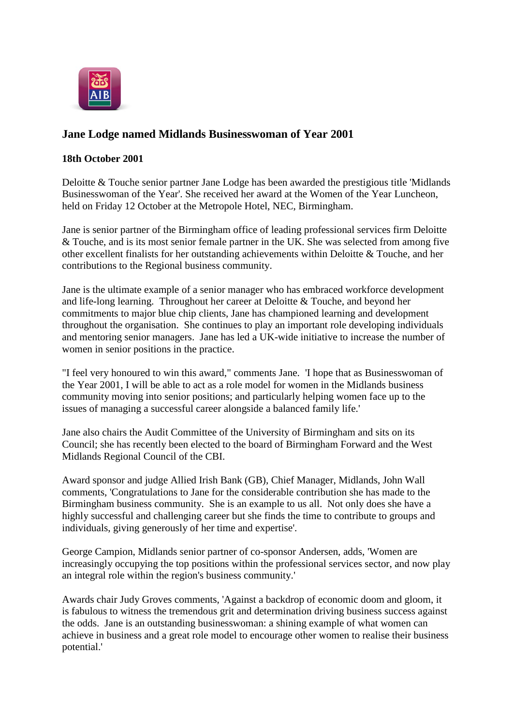

## **Jane Lodge named Midlands Businesswoman of Year 2001**

## **18th October 2001**

Deloitte & Touche senior partner Jane Lodge has been awarded the prestigious title 'Midlands Businesswoman of the Year'. She received her award at the Women of the Year Luncheon, held on Friday 12 October at the Metropole Hotel, NEC, Birmingham.

Jane is senior partner of the Birmingham office of leading professional services firm Deloitte & Touche, and is its most senior female partner in the UK. She was selected from among five other excellent finalists for her outstanding achievements within Deloitte & Touche, and her contributions to the Regional business community.

Jane is the ultimate example of a senior manager who has embraced workforce development and life-long learning. Throughout her career at Deloitte & Touche, and beyond her commitments to major blue chip clients, Jane has championed learning and development throughout the organisation. She continues to play an important role developing individuals and mentoring senior managers. Jane has led a UK-wide initiative to increase the number of women in senior positions in the practice.

"I feel very honoured to win this award," comments Jane. 'I hope that as Businesswoman of the Year 2001, I will be able to act as a role model for women in the Midlands business community moving into senior positions; and particularly helping women face up to the issues of managing a successful career alongside a balanced family life.'

Jane also chairs the Audit Committee of the University of Birmingham and sits on its Council; she has recently been elected to the board of Birmingham Forward and the West Midlands Regional Council of the CBI.

Award sponsor and judge Allied Irish Bank (GB), Chief Manager, Midlands, John Wall comments, 'Congratulations to Jane for the considerable contribution she has made to the Birmingham business community. She is an example to us all. Not only does she have a highly successful and challenging career but she finds the time to contribute to groups and individuals, giving generously of her time and expertise'.

George Campion, Midlands senior partner of co-sponsor Andersen, adds, 'Women are increasingly occupying the top positions within the professional services sector, and now play an integral role within the region's business community.'

Awards chair Judy Groves comments, 'Against a backdrop of economic doom and gloom, it is fabulous to witness the tremendous grit and determination driving business success against the odds. Jane is an outstanding businesswoman: a shining example of what women can achieve in business and a great role model to encourage other women to realise their business potential.'